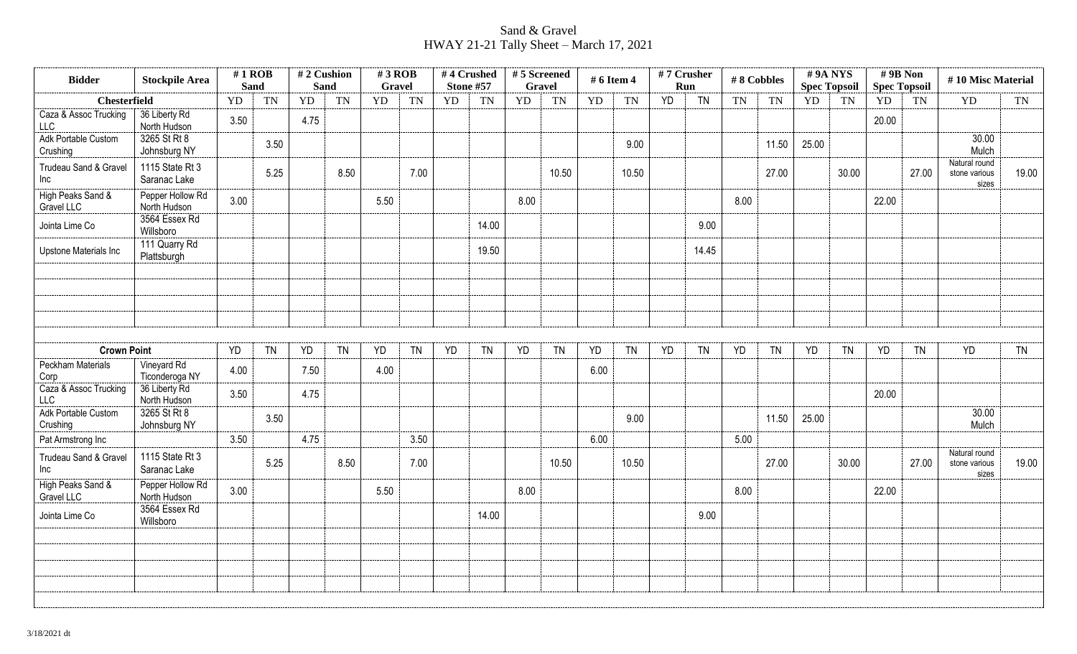## Sand & Gravel HWAY 21-21 Tally Sheet – March 17, 2021

| <b>Bidder</b>                       | <b>Stockpile Area</b>            | $#1$ ROB<br><b>Sand</b> |           | #2 Cushion<br><b>Sand</b> |           | #3 ROB<br>Gravel |           |    | #4 Crushed<br><b>Stone #57</b> | #5 Screened<br><b>Gravel</b> |           | # 6 Item 4 |           | #7 Crusher | Run       | #8 Cobbles |           |       | #9ANYS<br><b>Spec Topsoil</b> | $# 9B$ Non<br><b>Spec Topsoil</b> |           | #10 Misc Material                       |           |
|-------------------------------------|----------------------------------|-------------------------|-----------|---------------------------|-----------|------------------|-----------|----|--------------------------------|------------------------------|-----------|------------|-----------|------------|-----------|------------|-----------|-------|-------------------------------|-----------------------------------|-----------|-----------------------------------------|-----------|
| <b>Chesterfield</b>                 |                                  | YD                      | <b>TN</b> | <b>YD</b>                 | <b>TN</b> | YD               | <b>TN</b> | YD | <b>TN</b>                      | YD                           | <b>TN</b> | YD         | TN        | YD         | <b>TN</b> | <b>TN</b>  | TN        | YD    | <b>TN</b>                     | YD                                | TN        | YD                                      | <b>TN</b> |
| Caza & Assoc Trucking<br><b>LLC</b> | 36 Liberty Rd<br>North Hudson    | 3.50                    |           | 4.75                      |           |                  |           |    |                                |                              |           |            |           |            |           |            |           |       |                               | 20.00                             |           |                                         |           |
| Adk Portable Custom<br>Crushing     | 3265 St Rt 8<br>Johnsburg NY     |                         | 3.50      |                           |           |                  |           |    |                                |                              |           |            | 9.00      |            |           |            | 11.50     | 25.00 |                               |                                   |           | 30.00<br>Mulch                          |           |
| Trudeau Sand & Gravel<br>Inc        | 1115 State Rt 3<br>Saranac Lake  |                         | 5.25      |                           | 8.50      |                  | 7.00      |    |                                |                              | 10.50     |            | 10.50     |            |           |            | 27.00     |       | 30.00                         |                                   | 27.00     | Natural round<br>stone various<br>sizes | 19.00     |
| High Peaks Sand &<br>Gravel LLC     | Pepper Hollow Rd<br>North Hudson | 3.00                    |           |                           |           | 5.50             |           |    |                                | 8.00                         |           |            |           |            |           | 8.00       |           |       |                               | 22.00                             |           |                                         |           |
| Jointa Lime Co                      | 3564 Essex Rd<br>Willsboro       |                         |           |                           |           |                  |           |    | 14.00                          |                              |           |            |           |            | 9.00      |            |           |       |                               |                                   |           |                                         |           |
| Upstone Materials Inc               | 111 Quarry Rd<br>Plattsburgh     |                         |           |                           |           |                  |           |    | 19.50                          |                              |           |            |           |            | 14.45     |            |           |       |                               |                                   |           |                                         |           |
|                                     |                                  |                         |           |                           |           |                  |           |    |                                |                              |           |            |           |            |           |            |           |       |                               |                                   |           |                                         |           |
|                                     |                                  |                         |           |                           |           |                  |           |    |                                |                              |           |            |           |            |           |            |           |       |                               |                                   |           |                                         |           |
|                                     |                                  |                         |           |                           |           |                  |           |    |                                |                              |           |            |           |            |           |            |           |       |                               |                                   |           |                                         |           |
| <b>Crown Point</b>                  |                                  | YD                      | <b>TN</b> | YD                        | <b>TN</b> | YD               | <b>TN</b> | YD | <b>TN</b>                      | YD                           | <b>TN</b> | YD         | <b>TN</b> | <b>YD</b>  | <b>TN</b> | <b>YD</b>  | <b>TN</b> | YD    | <b>TN</b>                     | YD                                | <b>TN</b> | <b>YD</b>                               | <b>TN</b> |
| <b>Peckham Materials</b><br>Corp    | Vineyard Rd<br>Ticonderoga NY    | 4.00                    |           | 7.50                      |           | 4.00             |           |    |                                |                              |           | 6.00       |           |            |           |            |           |       |                               |                                   |           |                                         |           |
| Caza & Assoc Trucking<br><b>LLC</b> | 36 Liberty Rd<br>North Hudson    | 3.50                    |           | 4.75                      |           |                  |           |    |                                |                              |           |            |           |            |           |            |           |       |                               | 20.00                             |           |                                         |           |
| Adk Portable Custom<br>Crushing     | 3265 St Rt 8<br>Johnsburg NY     |                         | 3.50      |                           |           |                  |           |    |                                |                              |           |            | 9.00      |            |           |            | 11.50     | 25.00 |                               |                                   |           | 30.00<br>Mulch                          |           |
| Pat Armstrong Inc                   |                                  | 3.50                    |           | 4.75                      |           |                  | 3.50      |    |                                |                              |           | 6.00       |           |            |           | 5.00       |           |       |                               |                                   |           |                                         |           |
| Trudeau Sand & Gravel<br>Inc        | 1115 State Rt 3<br>Saranac Lake  |                         | 5.25      |                           | 8.50      |                  | 7.00      |    |                                |                              | 10.50     |            | 10.50     |            |           |            | 27.00     |       | 30.00                         |                                   | 27.00     | Natural round<br>stone various<br>sizes | 19.00     |
| High Peaks Sand &<br>Gravel LLC     | Pepper Hollow Rd<br>North Hudson | 3.00                    |           |                           |           | 5.50             |           |    |                                | 8.00                         |           |            |           |            |           | 8.00       |           |       |                               | 22.00                             |           |                                         |           |
| Jointa Lime Co                      | 3564 Essex Rd<br>Willsboro       |                         |           |                           |           |                  |           |    | 14.00                          |                              |           |            |           |            | 9.00      |            |           |       |                               |                                   |           |                                         |           |
|                                     |                                  |                         |           |                           |           |                  |           |    |                                |                              |           |            |           |            |           |            |           |       |                               |                                   |           |                                         |           |
|                                     |                                  |                         |           |                           |           |                  |           |    |                                |                              |           |            |           |            |           |            |           |       |                               |                                   |           |                                         |           |
|                                     |                                  |                         |           |                           |           |                  |           |    |                                |                              |           |            |           |            |           |            |           |       |                               |                                   |           |                                         |           |
|                                     |                                  |                         |           |                           |           |                  |           |    |                                |                              |           |            |           |            |           |            |           |       |                               |                                   |           |                                         |           |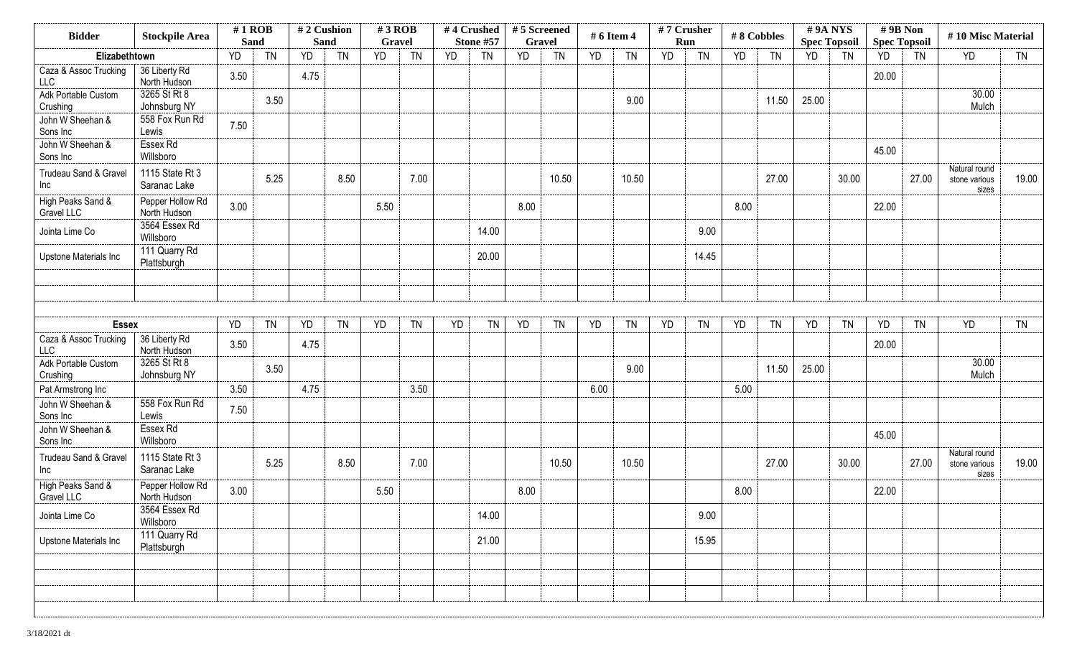| <b>YD</b><br><b>TN</b><br>30.00<br>Mulch         |
|--------------------------------------------------|
|                                                  |
|                                                  |
|                                                  |
|                                                  |
|                                                  |
| Natural round<br>19.00<br>stone various<br>sizes |
|                                                  |
|                                                  |
|                                                  |
|                                                  |
|                                                  |
| YD<br><b>TN</b>                                  |
|                                                  |
| 30.00<br>Mulch                                   |
|                                                  |
|                                                  |
|                                                  |
| Natural round<br>19.00<br>stone various<br>sizes |
|                                                  |
|                                                  |
|                                                  |
|                                                  |
|                                                  |
|                                                  |
|                                                  |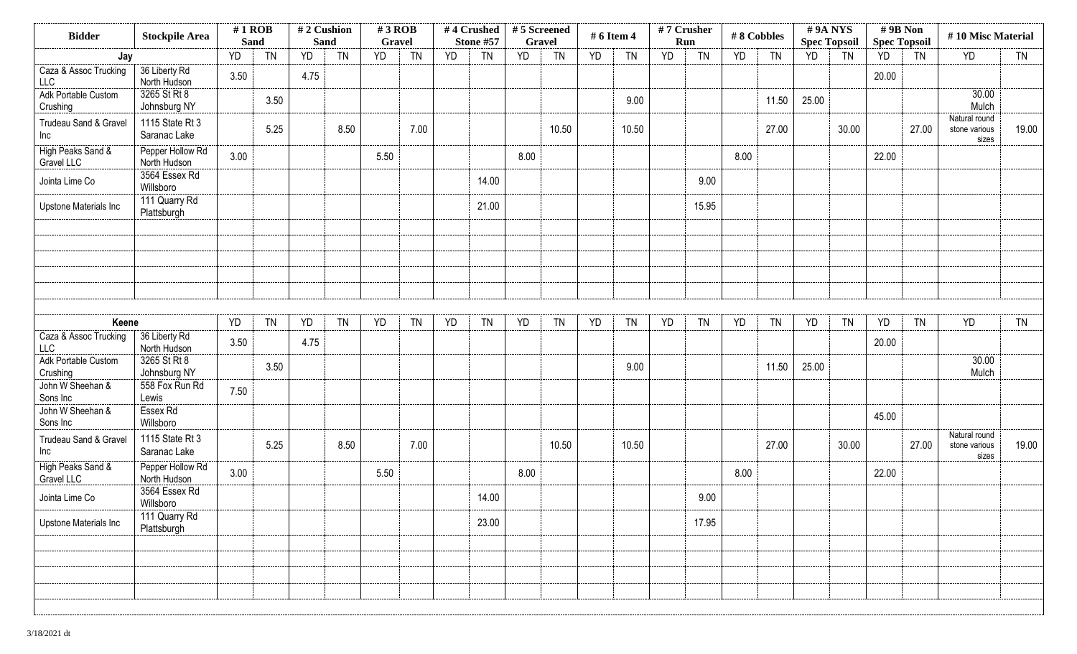| <b>Bidder</b>                       | <b>Stockpile Area</b>            | $#1$ ROB<br><b>Sand</b> |           | <b>Sand</b> | #2 Cushion | $#3$ ROB<br>Gravel |           |           | #4 Crushed<br>Stone #57 | #5 Screened<br><b>Gravel</b> |           | # 6 Item 4 |           | #7 Crusher<br>Run |           |      | #8 Cobbles | #9A NYS<br><b>Spec Topsoil</b> |           | #9B Non<br><b>Spec Topsoil</b> |           | #10 Misc Material                       |           |
|-------------------------------------|----------------------------------|-------------------------|-----------|-------------|------------|--------------------|-----------|-----------|-------------------------|------------------------------|-----------|------------|-----------|-------------------|-----------|------|------------|--------------------------------|-----------|--------------------------------|-----------|-----------------------------------------|-----------|
| Jay                                 |                                  | YD                      | <b>TN</b> | YD          | <b>TN</b>  | <b>YD</b>          | <b>TN</b> | <b>YD</b> | <b>TN</b>               | YD                           | <b>TN</b> | YD         | <b>TN</b> | <b>YD</b>         | <b>TN</b> | YD   | <b>TN</b>  | YD                             | <b>TN</b> | YD                             | <b>TN</b> | <b>YD</b>                               | <b>TN</b> |
| Caza & Assoc Trucking<br><b>LLC</b> | 36 Liberty Rd<br>North Hudson    | 3.50                    |           | 4.75        |            |                    |           |           |                         |                              |           |            |           |                   |           |      |            |                                |           | 20.00                          |           |                                         |           |
| Adk Portable Custom<br>Crushing     | 3265 St Rt 8<br>Johnsburg NY     |                         | 3.50      |             |            |                    |           |           |                         |                              |           |            | 9.00      |                   |           |      | 11.50      | 25.00                          |           |                                |           | 30.00<br>Mulch                          |           |
| Trudeau Sand & Gravel<br>Inc        | 1115 State Rt 3<br>Saranac Lake  |                         | 5.25      |             | 8.50       |                    | 7.00      |           |                         |                              | 10.50     |            | 10.50     |                   |           |      | 27.00      |                                | 30.00     |                                | 27.00     | Natural round<br>stone various<br>sizes | 19.00     |
| High Peaks Sand &<br>Gravel LLC     | Pepper Hollow Rd<br>North Hudson | 3.00                    |           |             |            | 5.50               |           |           |                         | 8.00                         |           |            |           |                   |           | 8.00 |            |                                |           | 22.00                          |           |                                         |           |
| Jointa Lime Co                      | 3564 Essex Rd<br>Willsboro       |                         |           |             |            |                    |           |           | 14.00                   |                              |           |            |           |                   | 9.00      |      |            |                                |           |                                |           |                                         |           |
| Upstone Materials Inc               | 111 Quarry Rd<br>Plattsburgh     |                         |           |             |            |                    |           |           | 21.00                   |                              |           |            |           |                   | 15.95     |      |            |                                |           |                                |           |                                         |           |
|                                     |                                  |                         |           |             |            |                    |           |           |                         |                              |           |            |           |                   |           |      |            |                                |           |                                |           |                                         |           |
|                                     |                                  |                         |           |             |            |                    |           |           |                         |                              |           |            |           |                   |           |      |            |                                |           |                                |           |                                         |           |
|                                     |                                  |                         |           |             |            |                    |           |           |                         |                              |           |            |           |                   |           |      |            |                                |           |                                |           |                                         |           |
| Keene                               |                                  | YD                      | <b>TN</b> | YD          | <b>TN</b>  | YD                 | <b>TN</b> | YD        | <b>TN</b>               | YD                           | <b>TN</b> | YD         | <b>TN</b> | YD                | <b>TN</b> | YD   | <b>TN</b>  | YD                             | <b>TN</b> | <b>YD</b>                      | <b>TN</b> | YD                                      | <b>TN</b> |
| Caza & Assoc Trucking<br>LLC        | 36 Liberty Rd<br>North Hudson    | 3.50                    |           | 4.75        |            |                    |           |           |                         |                              |           |            |           |                   |           |      |            |                                |           | 20.00                          |           |                                         |           |
| Adk Portable Custom<br>Crushing     | 3265 St Rt 8<br>Johnsburg NY     |                         | 3.50      |             |            |                    |           |           |                         |                              |           |            | 9.00      |                   |           |      | 11.50      | 25.00                          |           |                                |           | 30.00<br>Mulch                          |           |
| John W Sheehan &<br>Sons Inc        | 558 Fox Run Rd<br>Lewis          | 7.50                    |           |             |            |                    |           |           |                         |                              |           |            |           |                   |           |      |            |                                |           |                                |           |                                         |           |
| John W Sheehan &<br>Sons Inc        | Essex Rd<br>Willsboro            |                         |           |             |            |                    |           |           |                         |                              |           |            |           |                   |           |      |            |                                |           | 45.00                          |           |                                         |           |
| Trudeau Sand & Gravel<br>Inc        | 1115 State Rt 3<br>Saranac Lake  |                         | 5.25      |             | 8.50       |                    | 7.00      |           |                         |                              | 10.50     |            | 10.50     |                   |           |      | 27.00      |                                | 30.00     |                                | 27.00     | Natural round<br>stone various<br>sizes | 19.00     |
| High Peaks Sand &<br>Gravel LLC     | Pepper Hollow Rd<br>North Hudson | 3.00                    |           |             |            | 5.50               |           |           |                         | 8.00                         |           |            |           |                   |           | 8.00 |            |                                |           | 22.00                          |           |                                         |           |
| Jointa Lime Co                      | 3564 Essex Rd<br>Willsboro       |                         |           |             |            |                    |           |           | 14.00                   |                              |           |            |           |                   | 9.00      |      |            |                                |           |                                |           |                                         |           |
| Upstone Materials Inc               | 111 Quarry Rd<br>Plattsburgh     |                         |           |             |            |                    |           |           | 23.00                   |                              |           |            |           |                   | 17.95     |      |            |                                |           |                                |           |                                         |           |
|                                     |                                  |                         |           |             |            |                    |           |           |                         |                              |           |            |           |                   |           |      |            |                                |           |                                |           |                                         |           |
|                                     |                                  |                         |           |             |            |                    |           |           |                         |                              |           |            |           |                   |           |      |            |                                |           |                                |           |                                         |           |
|                                     |                                  |                         |           |             |            |                    |           |           |                         |                              |           |            |           |                   |           |      |            |                                |           |                                |           |                                         |           |
|                                     |                                  |                         |           |             |            |                    |           |           |                         |                              |           |            |           |                   |           |      |            |                                |           |                                |           |                                         |           |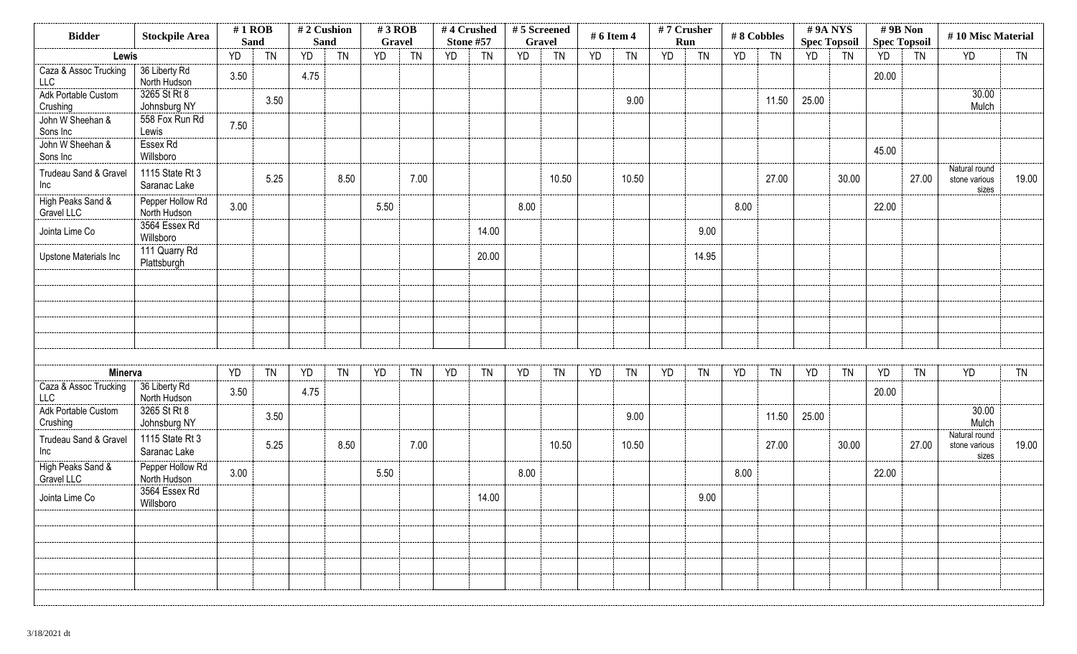| <b>Bidder</b>                   | <b>Stockpile Area</b>            | $#1$ ROB<br><b>Sand</b> |           | #2 Cushion<br><b>Sand</b> |           | $#3$ ROB<br>Gravel |           |           | #4 Crushed<br>Stone #57 | #5 Screened<br><b>Gravel</b> |           | # 6 Item 4 |           | #7 Crusher | Run       |      | #8 Cobbles |           | #9A NYS                          | #9B Non<br><b>Spec Topsoil</b> |           | #10 Misc Material                       |           |
|---------------------------------|----------------------------------|-------------------------|-----------|---------------------------|-----------|--------------------|-----------|-----------|-------------------------|------------------------------|-----------|------------|-----------|------------|-----------|------|------------|-----------|----------------------------------|--------------------------------|-----------|-----------------------------------------|-----------|
| Lewis                           |                                  | YD                      | <b>TN</b> | YD                        | <b>TN</b> | <b>YD</b>          | <b>TN</b> | <b>YD</b> | <b>TN</b>               | YD                           | <b>TN</b> | <b>YD</b>  | <b>TN</b> | YD         | <b>TN</b> | YD   | <b>TN</b>  | <b>YD</b> | <b>Spec Topsoil</b><br><b>TN</b> | YD                             | TN        | YD                                      | <b>TN</b> |
| Caza & Assoc Trucking<br>LLC    | 36 Liberty Rd<br>North Hudson    | 3.50                    |           | 4.75                      |           |                    |           |           |                         |                              |           |            |           |            |           |      |            |           |                                  | 20.00                          |           |                                         |           |
| Adk Portable Custom<br>Crushing | 3265 St Rt 8<br>Johnsburg NY     |                         | 3.50      |                           |           |                    |           |           |                         |                              |           |            | 9.00      |            |           |      | 11.50      | 25.00     |                                  |                                |           | 30.00<br>Mulch                          |           |
| John W Sheehan &<br>Sons Inc    | 558 Fox Run Rd<br>Lewis          | 7.50                    |           |                           |           |                    |           |           |                         |                              |           |            |           |            |           |      |            |           |                                  |                                |           |                                         |           |
| John W Sheehan &<br>Sons Inc    | Essex Rd<br>Willsboro            |                         |           |                           |           |                    |           |           |                         |                              |           |            |           |            |           |      |            |           |                                  | 45.00                          |           |                                         |           |
| Trudeau Sand & Gravel<br>Inc    | 1115 State Rt 3<br>Saranac Lake  |                         | 5.25      |                           | 8.50      |                    | 7.00      |           |                         |                              | 10.50     |            | 10.50     |            |           |      | 27.00      |           | 30.00                            |                                | 27.00     | Natural round<br>stone various<br>sizes | 19.00     |
| High Peaks Sand &<br>Gravel LLC | Pepper Hollow Rd<br>North Hudson | 3.00                    |           |                           |           | 5.50               |           |           |                         | 8.00                         |           |            |           |            |           | 8.00 |            |           |                                  | 22.00                          |           |                                         |           |
| Jointa Lime Co                  | 3564 Essex Rd<br>Willsboro       |                         |           |                           |           |                    |           |           | 14.00                   |                              |           |            |           |            | 9.00      |      |            |           |                                  |                                |           |                                         |           |
| Upstone Materials Inc           | 111 Quarry Rd<br>Plattsburgh     |                         |           |                           |           |                    |           |           | 20.00                   |                              |           |            |           |            | 14.95     |      |            |           |                                  |                                |           |                                         |           |
|                                 |                                  |                         |           |                           |           |                    |           |           |                         |                              |           |            |           |            |           |      |            |           |                                  |                                |           |                                         |           |
|                                 |                                  |                         |           |                           |           |                    |           |           |                         |                              |           |            |           |            |           |      |            |           |                                  |                                |           |                                         |           |
|                                 |                                  |                         |           |                           |           |                    |           |           |                         |                              |           |            |           |            |           |      |            |           |                                  |                                |           |                                         |           |
|                                 |                                  |                         |           |                           |           |                    |           |           |                         |                              |           |            |           |            |           |      |            |           |                                  |                                |           |                                         |           |
| Minerva                         |                                  | YD                      | <b>TN</b> | YD                        | <b>TN</b> | YD                 | <b>TN</b> | YD        | <b>TN</b>               | YD                           | <b>TN</b> | YD         | <b>TN</b> | YD         | <b>TN</b> | YD   | <b>TN</b>  | YD        | <b>TN</b>                        | YD                             | <b>TN</b> | YD                                      | <b>TN</b> |
| Caza & Assoc Trucking<br>LLC    | 36 Liberty Rd<br>North Hudson    | 3.50                    |           | 4.75                      |           |                    |           |           |                         |                              |           |            |           |            |           |      |            |           |                                  | 20.00                          |           |                                         |           |
| Adk Portable Custom<br>Crushing | 3265 St Rt 8<br>Johnsburg NY     |                         | 3.50      |                           |           |                    |           |           |                         |                              |           |            | 9.00      |            |           |      | 11.50      | 25.00     |                                  |                                |           | 30.00<br>Mulch                          |           |
| Trudeau Sand & Gravel<br>Inc    | 1115 State Rt 3<br>Saranac Lake  |                         | 5.25      |                           | 8.50      |                    | 7.00      |           |                         |                              | 10.50     |            | 10.50     |            |           |      | 27.00      |           | 30.00                            |                                | 27.00     | Natural round<br>stone various<br>sizes | 19.00     |
| High Peaks Sand &<br>Gravel LLC | Pepper Hollow Rd<br>North Hudson | 3.00                    |           |                           |           | 5.50               |           |           |                         | 8.00                         |           |            |           |            |           | 8.00 |            |           |                                  | 22.00                          |           |                                         |           |
| Jointa Lime Co                  | 3564 Essex Rd<br>Willsboro       |                         |           |                           |           |                    |           |           | 14.00                   |                              |           |            |           |            | 9.00      |      |            |           |                                  |                                |           |                                         |           |
|                                 |                                  |                         |           |                           |           |                    |           |           |                         |                              |           |            |           |            |           |      |            |           |                                  |                                |           |                                         |           |
|                                 |                                  |                         |           |                           |           |                    |           |           |                         |                              |           |            |           |            |           |      |            |           |                                  |                                |           |                                         |           |
|                                 |                                  |                         |           |                           |           |                    |           |           |                         |                              |           |            |           |            |           |      |            |           |                                  |                                |           |                                         |           |
|                                 |                                  |                         |           |                           |           |                    |           |           |                         |                              |           |            |           |            |           |      |            |           |                                  |                                |           |                                         |           |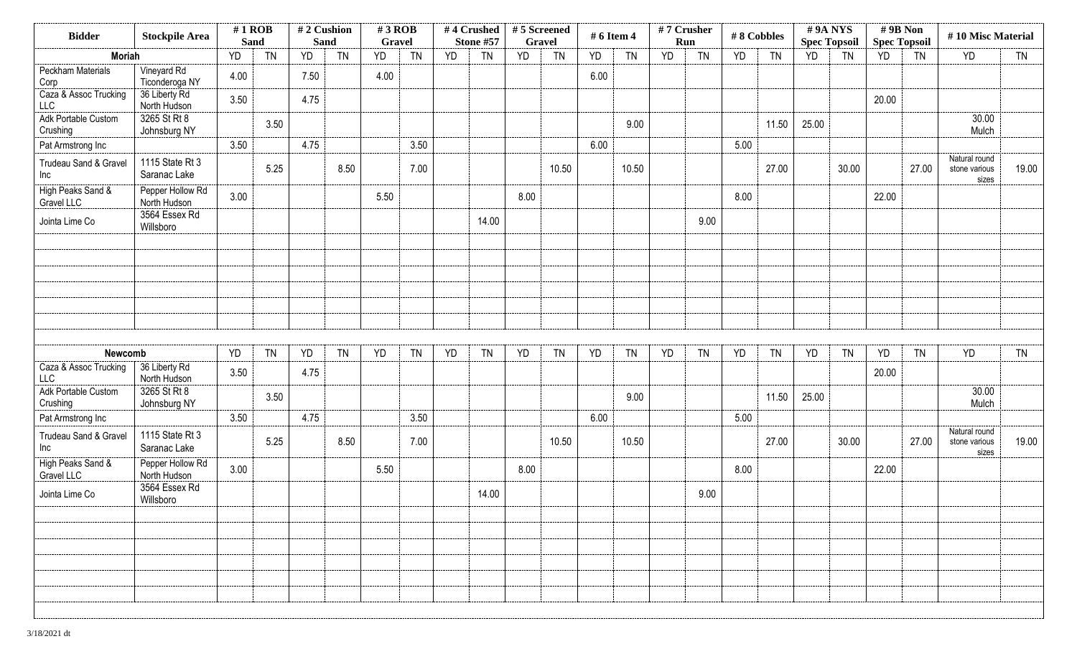| <b>Bidder</b>                       | <b>Stockpile Area</b>            | $#1$ ROB<br><b>Sand</b> |           | #2 Cushion<br><b>Sand</b> |           | $#3$ ROB<br>Gravel |           |           | #4 Crushed<br>Stone #57 | $# 5$ Screened<br>Gravel |           | # 6 Item 4 |           | #7 Crusher | Run       |      | #8 Cobbles |       | #9A NYS<br><b>Spec Topsoil</b> | $# 9B$ Non<br><b>Spec Topsoil</b> |           | #10 Misc Material                       |           |
|-------------------------------------|----------------------------------|-------------------------|-----------|---------------------------|-----------|--------------------|-----------|-----------|-------------------------|--------------------------|-----------|------------|-----------|------------|-----------|------|------------|-------|--------------------------------|-----------------------------------|-----------|-----------------------------------------|-----------|
| <b>Moriah</b>                       |                                  | YD                      | <b>TN</b> | YD                        | <b>TN</b> | <b>YD</b>          | <b>TN</b> | <b>YD</b> | <b>TN</b>               | YD                       | <b>TN</b> | <b>YD</b>  | <b>TN</b> | YD         | <b>TN</b> | YD   | <b>TN</b>  | YD    | <b>TN</b>                      | YD                                | <b>TN</b> | YD                                      | <b>TN</b> |
| <b>Peckham Materials</b><br>Corp    | Vineyard Rd<br>Ticonderoga NY    | 4.00                    |           | 7.50                      |           | 4.00               |           |           |                         |                          |           | 6.00       |           |            |           |      |            |       |                                |                                   |           |                                         |           |
| Caza & Assoc Trucking<br><b>LLC</b> | 36 Liberty Rd<br>North Hudson    | 3.50                    |           | 4.75                      |           |                    |           |           |                         |                          |           |            |           |            |           |      |            |       |                                | 20.00                             |           |                                         |           |
| Adk Portable Custom<br>Crushing     | 3265 St Rt 8<br>Johnsburg NY     |                         | 3.50      |                           |           |                    |           |           |                         |                          |           |            | 9.00      |            |           |      | 11.50      | 25.00 |                                |                                   |           | 30.00<br>Mulch                          |           |
| Pat Armstrong Inc                   |                                  | 3.50                    |           | 4.75                      |           |                    | 3.50      |           |                         |                          |           | 6.00       |           |            |           | 5.00 |            |       |                                |                                   |           |                                         |           |
| Trudeau Sand & Gravel<br>Inc        | 1115 State Rt 3<br>Saranac Lake  |                         | 5.25      |                           | 8.50      |                    | 7.00      |           |                         |                          | 10.50     |            | 10.50     |            |           |      | 27.00      |       | 30.00                          |                                   | 27.00     | Natural round<br>stone various<br>sizes | 19.00     |
| High Peaks Sand &<br>Gravel LLC     | Pepper Hollow Rd<br>North Hudson | 3.00                    |           |                           |           | 5.50               |           |           |                         | 8.00                     |           |            |           |            |           | 8.00 |            |       |                                | 22.00                             |           |                                         |           |
| Jointa Lime Co                      | 3564 Essex Rd<br>Willsboro       |                         |           |                           |           |                    |           |           | 14.00                   |                          |           |            |           |            | 9.00      |      |            |       |                                |                                   |           |                                         |           |
|                                     |                                  |                         |           |                           |           |                    |           |           |                         |                          |           |            |           |            |           |      |            |       |                                |                                   |           |                                         |           |
|                                     |                                  |                         |           |                           |           |                    |           |           |                         |                          |           |            |           |            |           |      |            |       |                                |                                   |           |                                         |           |
|                                     |                                  |                         |           |                           |           |                    |           |           |                         |                          |           |            |           |            |           |      |            |       |                                |                                   |           |                                         |           |
|                                     |                                  |                         |           |                           |           |                    |           |           |                         |                          |           |            |           |            |           |      |            |       |                                |                                   |           |                                         |           |
| Newcomb                             |                                  | YD                      | <b>TN</b> | YD                        | <b>TN</b> | YD                 | <b>TN</b> | YD        | <b>TN</b>               | YD                       | <b>TN</b> | YD         | <b>TN</b> | YD         | <b>TN</b> | YD   | <b>TN</b>  | YD    | <b>TN</b>                      | YD                                | <b>TN</b> | YD                                      | <b>TN</b> |
| Caza & Assoc Trucking<br><b>LLC</b> | 36 Liberty Rd<br>North Hudson    | 3.50                    |           | 4.75                      |           |                    |           |           |                         |                          |           |            |           |            |           |      |            |       |                                | 20.00                             |           |                                         |           |
| Adk Portable Custom<br>Crushing     | 3265 St Rt 8<br>Johnsburg NY     |                         | 3.50      |                           |           |                    |           |           |                         |                          |           |            | 9.00      |            |           |      | 11.50      | 25.00 |                                |                                   |           | 30.00<br>Mulch                          |           |
| Pat Armstrong Inc                   |                                  | 3.50                    |           | 4.75                      |           |                    | 3.50      |           |                         |                          |           | 6.00       |           |            |           | 5.00 |            |       |                                |                                   |           |                                         |           |
| Trudeau Sand & Gravel<br>Inc        | 1115 State Rt 3<br>Saranac Lake  |                         | 5.25      |                           | 8.50      |                    | 7.00      |           |                         |                          | 10.50     |            | 10.50     |            |           |      | 27.00      |       | 30.00                          |                                   | 27.00     | Natural round<br>stone various<br>sizes | 19.00     |
| High Peaks Sand &<br>Gravel LLC     | Pepper Hollow Rd<br>North Hudson | 3.00                    |           |                           |           | 5.50               |           |           |                         | 8.00                     |           |            |           |            |           | 8.00 |            |       |                                | 22.00                             |           |                                         |           |
| Jointa Lime Co                      | 3564 Essex Rd<br>Willsboro       |                         |           |                           |           |                    |           |           | 14.00                   |                          |           |            |           |            | 9.00      |      |            |       |                                |                                   |           |                                         |           |
|                                     |                                  |                         |           |                           |           |                    |           |           |                         |                          |           |            |           |            |           |      |            |       |                                |                                   |           |                                         |           |
|                                     |                                  |                         |           |                           |           |                    |           |           |                         |                          |           |            |           |            |           |      |            |       |                                |                                   |           |                                         |           |
|                                     |                                  |                         |           |                           |           |                    |           |           |                         |                          |           |            |           |            |           |      |            |       |                                |                                   |           |                                         |           |
|                                     |                                  |                         |           |                           |           |                    |           |           |                         |                          |           |            |           |            |           |      |            |       |                                |                                   |           |                                         |           |
|                                     |                                  |                         |           |                           |           |                    |           |           |                         |                          |           |            |           |            |           |      |            |       |                                |                                   |           |                                         |           |
|                                     |                                  |                         |           |                           |           |                    |           |           |                         |                          |           |            |           |            |           |      |            |       |                                |                                   |           |                                         |           |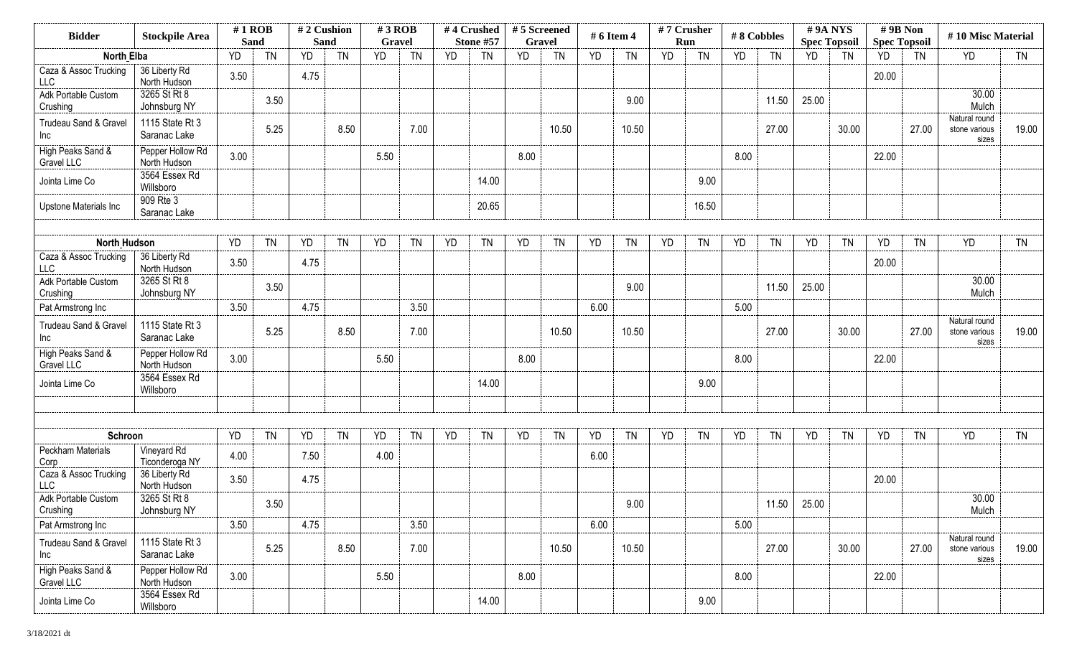| <b>Bidder</b>                               | <b>Stockpile Area</b>                           | $#1$ ROB    |           | #2 Cushion |           | $#3$ ROB  |           |           | #4 Crushed | #5 Screened |           | # 6 Item 4 |           |           | #7 Crusher | #8 Cobbles |           |           | #9A NYS             | #9B Non             |           | #10 Misc Material                       |           |
|---------------------------------------------|-------------------------------------------------|-------------|-----------|------------|-----------|-----------|-----------|-----------|------------|-------------|-----------|------------|-----------|-----------|------------|------------|-----------|-----------|---------------------|---------------------|-----------|-----------------------------------------|-----------|
|                                             |                                                 | <b>Sand</b> |           | Sand       |           | Gravel    |           |           | Stone #57  | Gravel      |           |            |           |           | Run        |            |           |           | <b>Spec Topsoil</b> | <b>Spec Topsoil</b> |           |                                         |           |
| <b>North Elba</b>                           |                                                 | YD          | <b>TN</b> | <b>YD</b>  | <b>TN</b> | <b>YD</b> | <b>TN</b> | <b>YD</b> | <b>TN</b>  | <b>YD</b>   | <b>TN</b> | <b>YD</b>  | <b>TN</b> | <b>YD</b> | <b>TN</b>  | <b>YD</b>  | <b>TN</b> | <b>YD</b> | <b>TN</b>           | YD                  | <b>TN</b> | <b>YD</b>                               | <b>TN</b> |
| Caza & Assoc Trucking<br><b>LLC</b>         | 36 Liberty Rd<br>North Hudson                   | 3.50        |           | 4.75       |           |           |           |           |            |             |           |            |           |           |            |            |           |           |                     | 20.00               |           |                                         |           |
| Adk Portable Custom<br>Crushing             | 3265 St Rt 8<br>Johnsburg NY                    |             | 3.50      |            |           |           |           |           |            |             |           |            | 9.00      |           |            |            | 11.50     | 25.00     |                     |                     |           | 30.00<br>Mulch                          |           |
| Trudeau Sand & Gravel<br>Inc                | 1115 State Rt 3<br>Saranac Lake                 |             | 5.25      |            | 8.50      |           | 7.00      |           |            |             | 10.50     |            | 10.50     |           |            |            | 27.00     |           | 30.00               |                     | 27.00     | Natural round<br>stone various<br>sizes | 19.00     |
| High Peaks Sand &<br>Gravel LLC             | Pepper Hollow Rd<br>North Hudson                | 3.00        |           |            |           | 5.50      |           |           |            | 8.00        |           |            |           |           |            | 8.00       |           |           |                     | 22.00               |           |                                         |           |
| Jointa Lime Co                              | 3564 Essex Rd<br>Willsboro                      |             |           |            |           |           |           |           | 14.00      |             |           |            |           |           | 9.00       |            |           |           |                     |                     |           |                                         |           |
| Upstone Materials Inc                       | 909 Rte 3<br>Saranac Lake                       |             |           |            |           |           |           |           | 20.65      |             |           |            |           |           | 16.50      |            |           |           |                     |                     |           |                                         |           |
|                                             |                                                 |             |           |            |           |           |           |           |            |             |           |            |           |           |            |            |           |           |                     |                     |           |                                         |           |
| <b>North Hudson</b>                         |                                                 | YD          | <b>TN</b> | YD         | <b>TN</b> | YD        | <b>TN</b> | <b>YD</b> | <b>TN</b>  | YD          | <b>TN</b> | YD         | <b>TN</b> | YD        | <b>TN</b>  | YD         | <b>TN</b> | YD        | <b>TN</b>           | YD                  | <b>TN</b> | YD                                      | <b>TN</b> |
| Caza & Assoc Trucking<br>LLC                | 36 Liberty Rd<br>North Hudson                   | 3.50        |           | 4.75       |           |           |           |           |            |             |           |            |           |           |            |            |           |           |                     | 20.00               |           |                                         |           |
| Adk Portable Custom<br>Crushing             | 3265 St Rt 8<br>Johnsburg NY                    |             | 3.50      |            |           |           |           |           |            |             |           |            | 9.00      |           |            |            | 11.50     | 25.00     |                     |                     |           | 30.00<br>Mulch                          |           |
| Pat Armstrong Inc                           |                                                 | 3.50        |           | 4.75       |           |           | 3.50      |           |            |             |           | 6.00       |           |           |            | 5.00       |           |           |                     |                     |           |                                         |           |
| Trudeau Sand & Gravel<br>Inc                | 1115 State Rt 3<br>Saranac Lake                 |             | 5.25      |            | 8.50      |           | 7.00      |           |            |             | 10.50     |            | 10.50     |           |            |            | 27.00     |           | 30.00               |                     | 27.00     | Natural round<br>stone various<br>sizes | 19.00     |
| High Peaks Sand &<br>Gravel LLC             | Pepper Hollow Rd<br>North Hudson                | 3.00        |           |            |           | 5.50      |           |           |            | 8.00        |           |            |           |           |            | 8.00       |           |           |                     | 22.00               |           |                                         |           |
| Jointa Lime Co                              | 3564 Essex Rd<br>Willsboro                      |             |           |            |           |           |           |           | 14.00      |             |           |            |           |           | 9.00       |            |           |           |                     |                     |           |                                         |           |
|                                             |                                                 |             |           |            |           |           |           |           |            |             |           |            |           |           |            |            |           |           |                     |                     |           |                                         |           |
| Schroon                                     |                                                 | YD          | <b>TN</b> | YD         | <b>TN</b> | YD        | <b>TN</b> | YD        | <b>TN</b>  | YD          | <b>TN</b> | YD         | <b>TN</b> | <b>YD</b> | <b>TN</b>  | YD         | <b>TN</b> | YD        | <b>TN</b>           | YD                  | <b>TN</b> | <b>YD</b>                               | <b>TN</b> |
| Peckham Materials                           | Vineyard Rd                                     | 4.00        |           | 7.50       |           | 4.00      |           |           |            |             |           | 6.00       |           |           |            |            |           |           |                     |                     |           |                                         |           |
| Corp<br>Caza & Assoc Trucking<br><b>LLC</b> | Ticonderoga NY<br>36 Liberty Rd<br>North Hudson | 3.50        |           | 4.75       |           |           |           |           |            |             |           |            |           |           |            |            |           |           |                     | 20.00               |           |                                         |           |
| Adk Portable Custom                         | 3265 St Rt 8                                    |             |           |            |           |           |           |           |            |             |           |            |           |           |            |            |           |           |                     |                     |           | 30.00                                   |           |
| Crushing                                    | Johnsburg NY                                    |             | 3.50      |            |           |           |           |           |            |             |           |            | 9.00      |           |            |            | 11.50     | 25.00     |                     |                     |           | Mulch                                   |           |
| Pat Armstrong Inc                           |                                                 | 3.50        |           | 4.75       |           |           | 3.50      |           |            |             |           | 6.00       |           |           |            | 5.00       |           |           |                     |                     |           |                                         |           |
| Trudeau Sand & Gravel<br>Inc                | 1115 State Rt 3<br>Saranac Lake                 |             | 5.25      |            | 8.50      |           | 7.00      |           |            |             | 10.50     |            | 10.50     |           |            |            | 27.00     |           | 30.00               |                     | 27.00     | Natural round<br>stone various<br>sizes | 19.00     |
| High Peaks Sand &<br>Gravel LLC             | Pepper Hollow Rd<br>North Hudson                | 3.00        |           |            |           | 5.50      |           |           |            | 8.00        |           |            |           |           |            | 8.00       |           |           |                     | 22.00               |           |                                         |           |
| Jointa Lime Co                              | 3564 Essex Rd<br>Willsboro                      |             |           |            |           |           |           |           | 14.00      |             |           |            |           |           | 9.00       |            |           |           |                     |                     |           |                                         |           |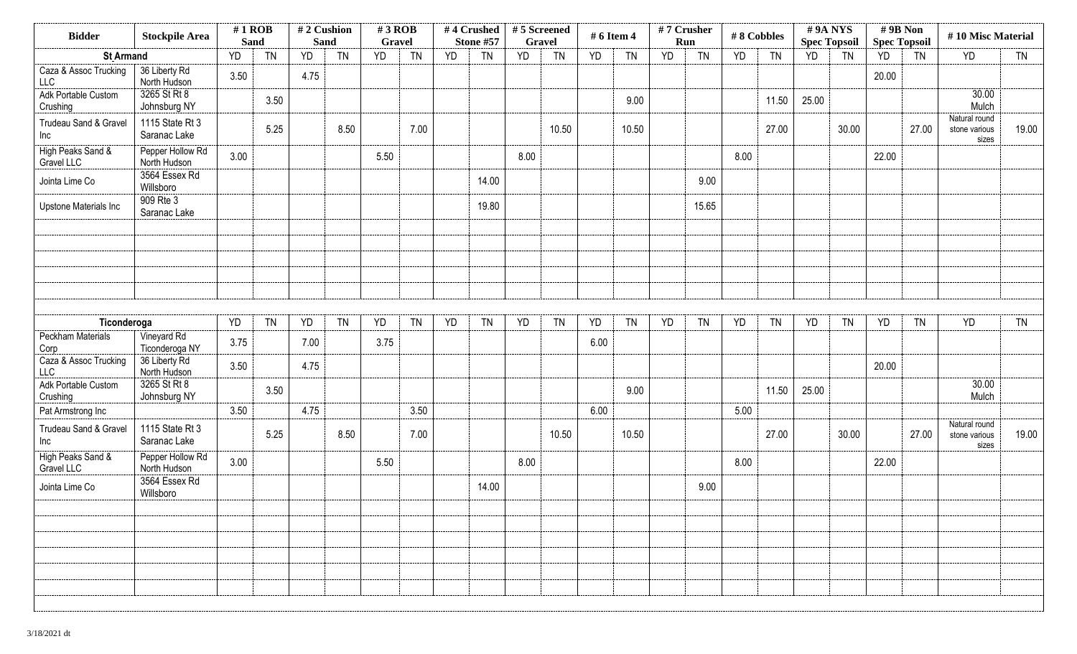| <b>Bidder</b>                       | <b>Stockpile Area</b>            | $#1$ ROB<br>Sand |           | <b>Sand</b> | #2 Cushion | $#3$ ROB<br>Gravel |           |           | #4 Crushed<br>Stone #57 | #5 Screened<br>Gravel |           | # 6 Item 4 |           |           | #7 Crusher<br>Run |      | #8 Cobbles | #9A NYS<br><b>Spec Topsoil</b> |           | #9B Non<br><b>Spec Topsoil</b> |           | #10 Misc Material                       |           |
|-------------------------------------|----------------------------------|------------------|-----------|-------------|------------|--------------------|-----------|-----------|-------------------------|-----------------------|-----------|------------|-----------|-----------|-------------------|------|------------|--------------------------------|-----------|--------------------------------|-----------|-----------------------------------------|-----------|
| <b>St Armand</b>                    |                                  | YD               | <b>TN</b> | YD          | <b>TN</b>  | <b>YD</b>          | <b>TN</b> | <b>YD</b> | <b>TN</b>               | YD                    | <b>TN</b> | <b>YD</b>  | <b>TN</b> | <b>YD</b> | <b>TN</b>         | YD   | <b>TN</b>  | YD                             | <b>TN</b> | <b>YD</b>                      | TN        | <b>YD</b>                               | <b>TN</b> |
| Caza & Assoc Trucking<br><b>LLC</b> | 36 Liberty Rd<br>North Hudson    | 3.50             |           | 4.75        |            |                    |           |           |                         |                       |           |            |           |           |                   |      |            |                                |           | 20.00                          |           |                                         |           |
| Adk Portable Custom<br>Crushing     | 3265 St Rt 8<br>Johnsburg NY     |                  | 3.50      |             |            |                    |           |           |                         |                       |           |            | 9.00      |           |                   |      | 11.50      | 25.00                          |           |                                |           | 30.00<br>Mulch                          |           |
| Trudeau Sand & Gravel<br>Inc        | 1115 State Rt 3<br>Saranac Lake  |                  | 5.25      |             | 8.50       |                    | 7.00      |           |                         |                       | 10.50     |            | 10.50     |           |                   |      | 27.00      |                                | 30.00     |                                | 27.00     | Natural round<br>stone various<br>sizes | 19.00     |
| High Peaks Sand &<br>Gravel LLC     | Pepper Hollow Rd<br>North Hudson | 3.00             |           |             |            | 5.50               |           |           |                         | 8.00                  |           |            |           |           |                   | 8.00 |            |                                |           | 22.00                          |           |                                         |           |
| Jointa Lime Co                      | 3564 Essex Rd<br>Willsboro       |                  |           |             |            |                    |           |           | 14.00                   |                       |           |            |           |           | 9.00              |      |            |                                |           |                                |           |                                         |           |
| Upstone Materials Inc               | 909 Rte 3<br>Saranac Lake        |                  |           |             |            |                    |           |           | 19.80                   |                       |           |            |           |           | 15.65             |      |            |                                |           |                                |           |                                         |           |
|                                     |                                  |                  |           |             |            |                    |           |           |                         |                       |           |            |           |           |                   |      |            |                                |           |                                |           |                                         |           |
|                                     |                                  |                  |           |             |            |                    |           |           |                         |                       |           |            |           |           |                   |      |            |                                |           |                                |           |                                         |           |
|                                     |                                  |                  |           |             |            |                    |           |           |                         |                       |           |            |           |           |                   |      |            |                                |           |                                |           |                                         |           |
|                                     |                                  |                  |           |             |            |                    |           |           |                         |                       |           |            |           |           |                   |      |            |                                |           |                                |           |                                         |           |
| Ticonderoga                         |                                  | YD               | <b>TN</b> | YD          | <b>TN</b>  | YD                 | <b>TN</b> | YD        | <b>TN</b>               | YD                    | <b>TN</b> | YD         | <b>TN</b> | YD        | <b>TN</b>         | YD   | <b>TN</b>  | YD                             | <b>TN</b> | YD                             | <b>TN</b> | <b>YD</b>                               | <b>TN</b> |
| Peckham Materials<br>Corp           | Vineyard Rd<br>Ticonderoga NY    | 3.75             |           | 7.00        |            | 3.75               |           |           |                         |                       |           | 6.00       |           |           |                   |      |            |                                |           |                                |           |                                         |           |
| Caza & Assoc Trucking<br>LLC        | 36 Liberty Rd<br>North Hudson    | 3.50             |           | 4.75        |            |                    |           |           |                         |                       |           |            |           |           |                   |      |            |                                |           | 20.00                          |           |                                         |           |
| Adk Portable Custom<br>Crushing     | 3265 St Rt 8<br>Johnsburg NY     |                  | 3.50      |             |            |                    |           |           |                         |                       |           |            | 9.00      |           |                   |      | 11.50      | 25.00                          |           |                                |           | 30.00<br>Mulch                          |           |
| Pat Armstrong Inc                   |                                  | 3.50             |           | 4.75        |            |                    | 3.50      |           |                         |                       |           | 6.00       |           |           |                   | 5.00 |            |                                |           |                                |           |                                         |           |
| Trudeau Sand & Gravel<br>Inc        | 1115 State Rt 3<br>Saranac Lake  |                  | 5.25      |             | 8.50       |                    | 7.00      |           |                         |                       | 10.50     |            | 10.50     |           |                   |      | 27.00      |                                | 30.00     |                                | 27.00     | Natural round<br>stone various<br>sizes | 19.00     |
| High Peaks Sand &<br>Gravel LLC     | Pepper Hollow Rd<br>North Hudson | 3.00             |           |             |            | 5.50               |           |           |                         | 8.00                  |           |            |           |           |                   | 8.00 |            |                                |           | 22.00                          |           |                                         |           |
| Jointa Lime Co                      | 3564 Essex Rd<br>Willsboro       |                  |           |             |            |                    |           |           | 14.00                   |                       |           |            |           |           | 9.00              |      |            |                                |           |                                |           |                                         |           |
|                                     |                                  |                  |           |             |            |                    |           |           |                         |                       |           |            |           |           |                   |      |            |                                |           |                                |           |                                         |           |
|                                     |                                  |                  |           |             |            |                    |           |           |                         |                       |           |            |           |           |                   |      |            |                                |           |                                |           |                                         |           |
|                                     |                                  |                  |           |             |            |                    |           |           |                         |                       |           |            |           |           |                   |      |            |                                |           |                                |           |                                         |           |
|                                     |                                  |                  |           |             |            |                    |           |           |                         |                       |           |            |           |           |                   |      |            |                                |           |                                |           |                                         |           |
|                                     |                                  |                  |           |             |            |                    |           |           |                         |                       |           |            |           |           |                   |      |            |                                |           |                                |           |                                         |           |
|                                     |                                  |                  |           |             |            |                    |           |           |                         |                       |           |            |           |           |                   |      |            |                                |           |                                |           |                                         |           |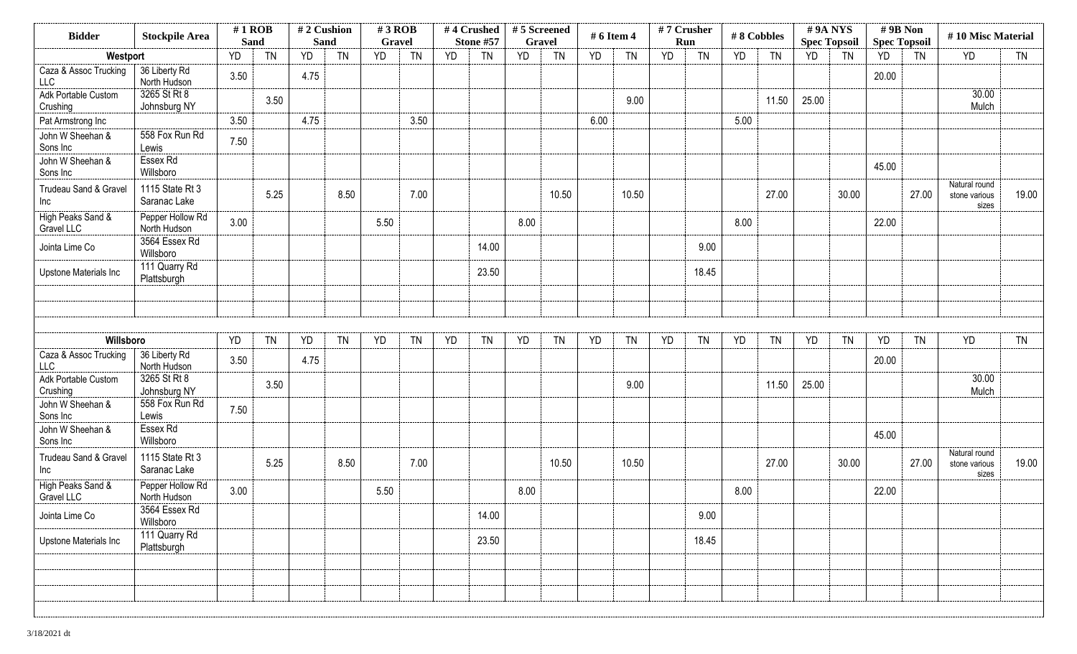| <b>Bidder</b>                       | <b>Stockpile Area</b>            | $#1$ ROB<br><b>Sand</b> |           | #2 Cushion<br><b>Sand</b> |           | $#3$ ROB<br>Gravel |           |           | #4 Crushed<br>Stone #57 | #5 Screened<br><b>Gravel</b> |           | # 6 Item 4 |           | #7 Crusher<br>Run |           | #8 Cobbles |           | #9A NYS<br><b>Spec Topsoil</b> |           | #9B Non<br><b>Spec Topsoil</b> |           | #10 Misc Material                       |           |
|-------------------------------------|----------------------------------|-------------------------|-----------|---------------------------|-----------|--------------------|-----------|-----------|-------------------------|------------------------------|-----------|------------|-----------|-------------------|-----------|------------|-----------|--------------------------------|-----------|--------------------------------|-----------|-----------------------------------------|-----------|
| Westport                            |                                  | YD                      | <b>TN</b> | <b>YD</b>                 | <b>TN</b> | YD                 | <b>TN</b> | <b>YD</b> | <b>TN</b>               | YD                           | <b>TN</b> | YD         | <b>TN</b> | <b>YD</b>         | <b>TN</b> | YD         | <b>TN</b> | <b>YD</b>                      | <b>TN</b> | YD                             | <b>TN</b> | <b>YD</b>                               | <b>TN</b> |
| Caza & Assoc Trucking<br><b>LLC</b> | 36 Liberty Rd<br>North Hudson    | 3.50                    |           | 4.75                      |           |                    |           |           |                         |                              |           |            |           |                   |           |            |           |                                |           | 20.00                          |           |                                         |           |
| Adk Portable Custom<br>Crushing     | 3265 St Rt 8<br>Johnsburg NY     |                         | 3.50      |                           |           |                    |           |           |                         |                              |           |            | 9.00      |                   |           |            | 11.50     | 25.00                          |           |                                |           | 30.00<br>Mulch                          |           |
| Pat Armstrong Inc                   |                                  | 3.50                    |           | 4.75                      |           |                    | 3.50      |           |                         |                              |           | 6.00       |           |                   |           | 5.00       |           |                                |           |                                |           |                                         |           |
| John W Sheehan &<br>Sons Inc        | 558 Fox Run Rd<br>Lewis          | 7.50                    |           |                           |           |                    |           |           |                         |                              |           |            |           |                   |           |            |           |                                |           |                                |           |                                         |           |
| John W Sheehan &<br>Sons Inc        | Essex Rd<br>Willsboro            |                         |           |                           |           |                    |           |           |                         |                              |           |            |           |                   |           |            |           |                                |           | 45.00                          |           |                                         |           |
| Trudeau Sand & Gravel<br>Inc        | 1115 State Rt 3<br>Saranac Lake  |                         | 5.25      |                           | 8.50      |                    | 7.00      |           |                         |                              | 10.50     |            | 10.50     |                   |           |            | 27.00     |                                | 30.00     |                                | 27.00     | Natural round<br>stone various<br>sizes | 19.00     |
| High Peaks Sand &<br>Gravel LLC     | Pepper Hollow Rd<br>North Hudson | 3.00                    |           |                           |           | 5.50               |           |           |                         | 8.00                         |           |            |           |                   |           | 8.00       |           |                                |           | 22.00                          |           |                                         |           |
| Jointa Lime Co                      | 3564 Essex Rd<br>Willsboro       |                         |           |                           |           |                    |           |           | 14.00                   |                              |           |            |           |                   | 9.00      |            |           |                                |           |                                |           |                                         |           |
| Upstone Materials Inc               | 111 Quarry Rd<br>Plattsburgh     |                         |           |                           |           |                    |           |           | 23.50                   |                              |           |            |           |                   | 18.45     |            |           |                                |           |                                |           |                                         |           |
|                                     |                                  |                         |           |                           |           |                    |           |           |                         |                              |           |            |           |                   |           |            |           |                                |           |                                |           |                                         |           |
|                                     |                                  |                         |           |                           |           |                    |           |           |                         |                              |           |            |           |                   |           |            |           |                                |           |                                |           |                                         |           |
| Willsboro                           |                                  | YD                      | <b>TN</b> | YD                        | <b>TN</b> | YD                 | <b>TN</b> | YD        | <b>TN</b>               | YD                           | <b>TN</b> | YD         | <b>TN</b> | YD                | <b>TN</b> | YD         | <b>TN</b> | YD                             | <b>TN</b> | YD                             | <b>TN</b> | YD                                      | <b>TN</b> |
| Caza & Assoc Trucking<br><b>LLC</b> | 36 Liberty Rd<br>North Hudson    | 3.50                    |           | 4.75                      |           |                    |           |           |                         |                              |           |            |           |                   |           |            |           |                                |           | 20.00                          |           |                                         |           |
| Adk Portable Custom<br>Crushing     | 3265 St Rt 8<br>Johnsburg NY     |                         | 3.50      |                           |           |                    |           |           |                         |                              |           |            | 9.00      |                   |           |            | 11.50     | 25.00                          |           |                                |           | 30.00<br>Mulch                          |           |
| John W Sheehan &<br>Sons Inc        | 558 Fox Run Rd<br>Lewis          | 7.50                    |           |                           |           |                    |           |           |                         |                              |           |            |           |                   |           |            |           |                                |           |                                |           |                                         |           |
| John W Sheehan &<br>Sons Inc        | Essex Rd<br>Willsboro            |                         |           |                           |           |                    |           |           |                         |                              |           |            |           |                   |           |            |           |                                |           | 45.00                          |           |                                         |           |
| Trudeau Sand & Gravel<br>Inc        | 1115 State Rt 3<br>Saranac Lake  |                         | 5.25      |                           | 8.50      |                    | 7.00      |           |                         |                              | 10.50     |            | 10.50     |                   |           |            | 27.00     |                                | 30.00     |                                | 27.00     | Natural round<br>stone various<br>sizes | 19.00     |
| High Peaks Sand &<br>Gravel LLC     | Pepper Hollow Rd<br>North Hudson | 3.00                    |           |                           |           | 5.50               |           |           |                         | 8.00                         |           |            |           |                   |           | 8.00       |           |                                |           | 22.00                          |           |                                         |           |
| Jointa Lime Co                      | 3564 Essex Rd<br>Willsboro       |                         |           |                           |           |                    |           |           | 14.00                   |                              |           |            |           |                   | 9.00      |            |           |                                |           |                                |           |                                         |           |
| Upstone Materials Inc               | 111 Quarry Rd<br>Plattsburgh     |                         |           |                           |           |                    |           |           | 23.50                   |                              |           |            |           |                   | 18.45     |            |           |                                |           |                                |           |                                         |           |
|                                     |                                  |                         |           |                           |           |                    |           |           |                         |                              |           |            |           |                   |           |            |           |                                |           |                                |           |                                         |           |
|                                     |                                  |                         |           |                           |           |                    |           |           |                         |                              |           |            |           |                   |           |            |           |                                |           |                                |           |                                         |           |
|                                     |                                  |                         |           |                           |           |                    |           |           |                         |                              |           |            |           |                   |           |            |           |                                |           |                                |           |                                         |           |